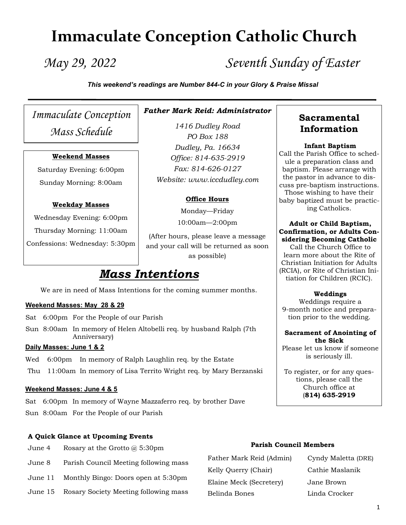# **Immaculate Conception Catholic Church**

*May 29, 2022 Seventh Sunday of Easter*

*This weekend's readings are Number 844-C in your Glory & Praise Missal*

*Immaculate Conception Mass Schedule*

#### **Weekend Masses**

Saturday Evening: 6:00pm Sunday Morning: 8:00am

#### **Weekday Masses**

Wednesday Evening: 6:00pm Thursday Morning: 11:00am Confessions: Wednesday: 5:30pm

# *Father Mark Reid: Administrator*

*1416 Dudley Road PO Box 188 Dudley, Pa. 16634 Office: 814-635-2919 Fax: 814-626-0127 Website: www.iccdudley.com*

#### **Office Hours**

Monday—Friday

10:00am—2:00pm

(After hours, please leave a message and your call will be returned as soon as possible)

# *Mass Intentions*

We are in need of Mass Intentions for the coming summer months.

#### **Weekend Masses: May 28 & 29**

- Sat 6:00pm For the People of our Parish
- Sun 8:00am In memory of Helen Altobelli req. by husband Ralph (7th Anniversary)

### **Daily Masses: June 1 & 2**

- Wed 6:00pm In memory of Ralph Laughlin req. by the Estate
- Thu 11:00am In memory of Lisa Territo Wright req. by Mary Berzanski

#### **Weekend Masses: June 4 & 5**

Sat 6:00pm In memory of Wayne Mazzaferro req. by brother Dave Sun 8:00am For the People of our Parish

#### **A Quick Glance at Upcoming Events**

- June 4 Rosary at the Grotto @ 5:30pm
- June 8 Parish Council Meeting following mass
- June 11 Monthly Bingo: Doors open at 5:30pm
- June 15 Rosary Society Meeting following mass

**Sacramental Information**

#### **Infant Baptism**

Call the Parish Office to schedule a preparation class and baptism. Please arrange with the pastor in advance to discuss pre-baptism instructions. Those wishing to have their baby baptized must be practicing Catholics.

#### **Adult or Child Baptism, Confirmation, or Adults Considering Becoming Catholic**

Call the Church Office to learn more about the Rite of Christian Initiation for Adults (RCIA), or Rite of Christian Initiation for Children (RCIC).

#### **Weddings**

Weddings require a 9-month notice and preparation prior to the wedding.

#### **Sacrament of Anointing of the Sick**

Please let us know if someone is seriously ill.

To register, or for any questions, please call the Church office at (**814) 635-2919**

#### **Parish Council Members**

Father Mark Reid (Admin) Cyndy Maletta (DRE) Kelly Querry (Chair) Cathie Maslanik Elaine Meck (Secretery) Jane Brown Belinda Bones Linda Crocker